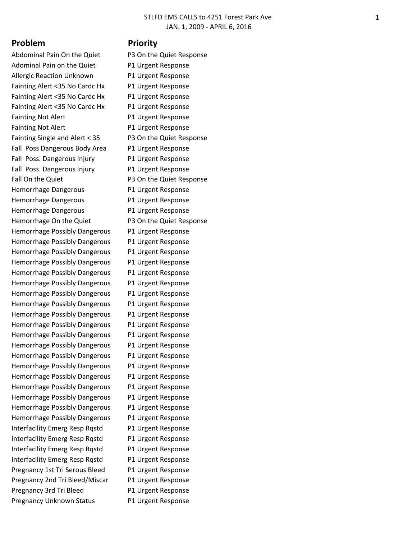## **Problem Priority**

Abdominal Pain On the Quiet P3 On the Quiet Response Adominal Pain on the Quiet P1 Urgent Response Allergic Reaction Unknown P1 Urgent Response Fainting Alert <35 No Cardc Hx P1 Urgent Response Fainting Alert <35 No Cardc Hx P1 Urgent Response Fainting Alert <35 No Cardc Hx P1 Urgent Response Fainting Not Alert **P1 Urgent Response** Fainting Not Alert P1 Urgent Response Fainting Single and Alert < 35 P3 On the Quiet Response Fall Poss Dangerous Body Area P1 Urgent Response Fall Poss. Dangerous Injury P1 Urgent Response Fall Poss. Dangerous Injury P1 Urgent Response Fall On the Quiet **P3 On the Quiet Response** Hemorrhage Dangerous P1 Urgent Response Hemorrhage Dangerous P1 Urgent Response Hemorrhage Dangerous P1 Urgent Response Hemorrhage On the Quiet P3 On the Quiet Response Hemorrhage Possibly Dangerous P1 Urgent Response Hemorrhage Possibly Dangerous P1 Urgent Response Hemorrhage Possibly Dangerous P1 Urgent Response Hemorrhage Possibly Dangerous P1 Urgent Response Hemorrhage Possibly Dangerous P1 Urgent Response Hemorrhage Possibly Dangerous P1 Urgent Response Hemorrhage Possibly Dangerous P1 Urgent Response Hemorrhage Possibly Dangerous P1 Urgent Response Hemorrhage Possibly Dangerous P1 Urgent Response Hemorrhage Possibly Dangerous P1 Urgent Response Hemorrhage Possibly Dangerous P1 Urgent Response Hemorrhage Possibly Dangerous P1 Urgent Response Hemorrhage Possibly Dangerous P1 Urgent Response Hemorrhage Possibly Dangerous P1 Urgent Response Hemorrhage Possibly Dangerous P1 Urgent Response Hemorrhage Possibly Dangerous P1 Urgent Response Hemorrhage Possibly Dangerous P1 Urgent Response Hemorrhage Possibly Dangerous P1 Urgent Response Hemorrhage Possibly Dangerous P1 Urgent Response Interfacility Emerg Resp Rqstd P1 Urgent Response Interfacility Emerg Resp Rqstd P1 Urgent Response Interfacility Emerg Resp Rqstd P1 Urgent Response Interfacility Emerg Resp Rqstd P1 Urgent Response Pregnancy 1st Tri Serous Bleed P1 Urgent Response Pregnancy 2nd Tri Bleed/Miscar P1 Urgent Response Pregnancy 3rd Tri Bleed P1 Urgent Response Pregnancy Unknown Status P1 Urgent Response